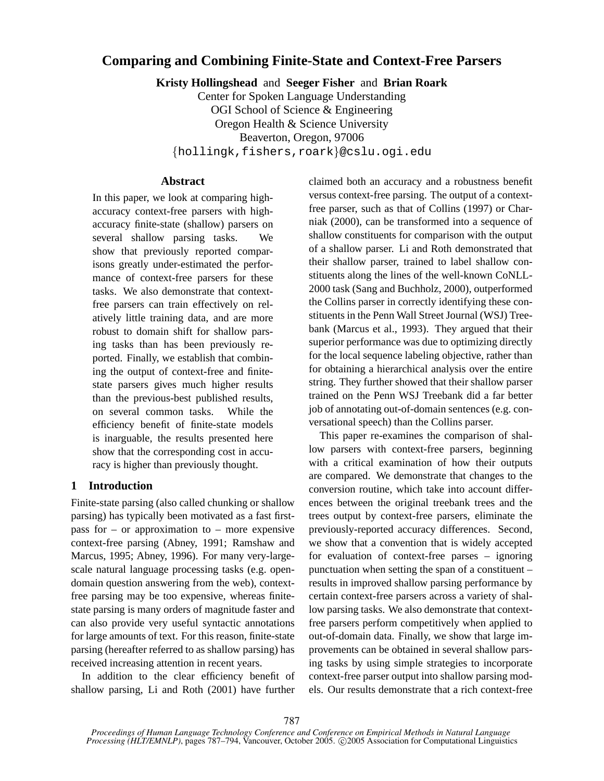# **Comparing and Combining Finite-State and Context-Free Parsers**

**Kristy Hollingshead** and **Seeger Fisher** and **Brian Roark**

Center for Spoken Language Understanding OGI School of Science & Engineering Oregon Health & Science University Beaverton, Oregon, 97006 {hollingk,fishers,roark}@cslu.ogi.edu

## **Abstract**

In this paper, we look at comparing highaccuracy context-free parsers with highaccuracy finite-state (shallow) parsers on several shallow parsing tasks. We show that previously reported comparisons greatly under-estimated the performance of context-free parsers for these tasks. We also demonstrate that contextfree parsers can train effectively on relatively little training data, and are more robust to domain shift for shallow parsing tasks than has been previously reported. Finally, we establish that combining the output of context-free and finitestate parsers gives much higher results than the previous-best published results, on several common tasks. While the efficiency benefit of finite-state models is inarguable, the results presented here show that the corresponding cost in accuracy is higher than previously thought.

## **1 Introduction**

Finite-state parsing (also called chunking or shallow parsing) has typically been motivated as a fast firstpass for – or approximation to – more expensive context-free parsing (Abney, 1991; Ramshaw and Marcus, 1995; Abney, 1996). For many very-largescale natural language processing tasks (e.g. opendomain question answering from the web), contextfree parsing may be too expensive, whereas finitestate parsing is many orders of magnitude faster and can also provide very useful syntactic annotations for large amounts of text. For this reason, finite-state parsing (hereafter referred to as shallow parsing) has received increasing attention in recent years.

In addition to the clear efficiency benefit of shallow parsing, Li and Roth (2001) have further claimed both an accuracy and a robustness benefit versus context-free parsing. The output of a contextfree parser, such as that of Collins (1997) or Charniak (2000), can be transformed into a sequence of shallow constituents for comparison with the output of a shallow parser. Li and Roth demonstrated that their shallow parser, trained to label shallow constituents along the lines of the well-known CoNLL-2000 task (Sang and Buchholz, 2000), outperformed the Collins parser in correctly identifying these constituents in the Penn Wall Street Journal (WSJ) Treebank (Marcus et al., 1993). They argued that their superior performance was due to optimizing directly for the local sequence labeling objective, rather than for obtaining a hierarchical analysis over the entire string. They further showed that their shallow parser trained on the Penn WSJ Treebank did a far better job of annotating out-of-domain sentences (e.g. conversational speech) than the Collins parser.

This paper re-examines the comparison of shallow parsers with context-free parsers, beginning with a critical examination of how their outputs are compared. We demonstrate that changes to the conversion routine, which take into account differences between the original treebank trees and the trees output by context-free parsers, eliminate the previously-reported accuracy differences. Second, we show that a convention that is widely accepted for evaluation of context-free parses – ignoring punctuation when setting the span of a constituent – results in improved shallow parsing performance by certain context-free parsers across a variety of shallow parsing tasks. We also demonstrate that contextfree parsers perform competitively when applied to out-of-domain data. Finally, we show that large improvements can be obtained in several shallow parsing tasks by using simple strategies to incorporate context-free parser output into shallow parsing models. Our results demonstrate that a rich context-free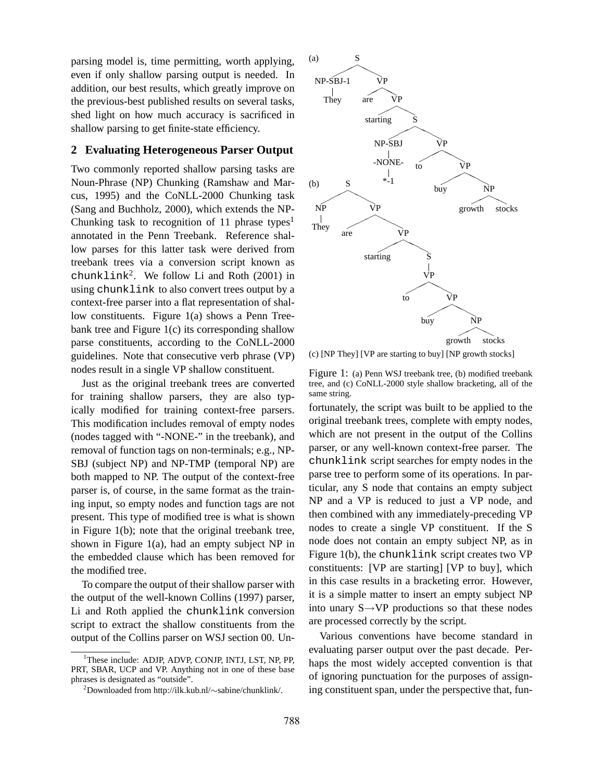parsing model is, time permitting, worth applying, even if only shallow parsing output is needed. In addition, our best results, which greatly improve on the previous-best published results on several tasks, shed light on how much accuracy is sacrificed in shallow parsing to get finite-state efficiency.

## **2 Evaluating Heterogeneous Parser Output**

Two commonly reported shallow parsing tasks are Noun-Phrase (NP) Chunking (Ramshaw and Marcus, 1995) and the CoNLL-2000 Chunking task (Sang and Buchholz, 2000), which extends the NP-Chunking task to recognition of 11 phrase types<sup>1</sup> annotated in the Penn Treebank. Reference shallow parses for this latter task were derived from treebank trees via a conversion script known as chunklink<sup>2</sup>. We follow Li and Roth (2001) in using chunklink to also convert trees output by a context-free parser into a flat representation of shallow constituents. Figure 1(a) shows a Penn Treebank tree and Figure 1(c) its corresponding shallow parse constituents, according to the CoNLL-2000 guidelines. Note that consecutive verb phrase (VP) nodes result in a single VP shallow constituent.

Just as the original treebank trees are converted for training shallow parsers, they are also typically modified for training context-free parsers. This modification includes removal of empty nodes (nodes tagged with "-NONE-" in the treebank), and removal of function tags on non-terminals; e.g., NP-SBJ (subject NP) and NP-TMP (temporal NP) are both mapped to NP. The output of the context-free parser is, of course, in the same format as the training input, so empty nodes and function tags are not present. This type of modified tree is what is shown in Figure  $1(b)$ ; note that the original treebank tree, shown in Figure 1(a), had an empty subject NP in the embedded clause which has been removed for the modified tree.

To compare the output of their shallow parser with the output of the well-known Collins (1997) parser, Li and Roth applied the chunklink conversion script to extract the shallow constituents from the output of the Collins parser on WSJ section 00. Un-



(c) [NP They] [VP are starting to buy] [NP growth stocks]

Figure 1: (a) Penn WSJ treebank tree, (b) modified treebank tree, and (c) CoNLL-2000 style shallow bracketing, all of the same string.

fortunately, the script was built to be applied to the original treebank trees, complete with empty nodes, which are not present in the output of the Collins parser, or any well-known context-free parser. The chunklink script searches for empty nodes in the parse tree to perform some of its operations. In particular, any S node that contains an empty subject NP and a VP is reduced to just a VP node, and then combined with any immediately-preceding VP nodes to create a single VP constituent. If the S node does not contain an empty subject NP, as in Figure 1(b), the chunklink script creates two VP constituents: [VP are starting] [VP to buy], which in this case results in a bracketing error. However, it is a simple matter to insert an empty subject NP into unary  $S \rightarrow VP$  productions so that these nodes are processed correctly by the script.

Various conventions have become standard in evaluating parser output over the past decade. Perhaps the most widely accepted convention is that of ignoring punctuation for the purposes of assigning constituent span, under the perspective that, fun-

<sup>&</sup>lt;sup>1</sup>These include: ADJP, ADVP, CONJP, INTJ, LST, NP, PP, PRT, SBAR, UCP and VP. Anything not in one of these base phrases is designated as "outside".

<sup>2</sup>Downloaded from http://ilk.kub.nl/∼sabine/chunklink/.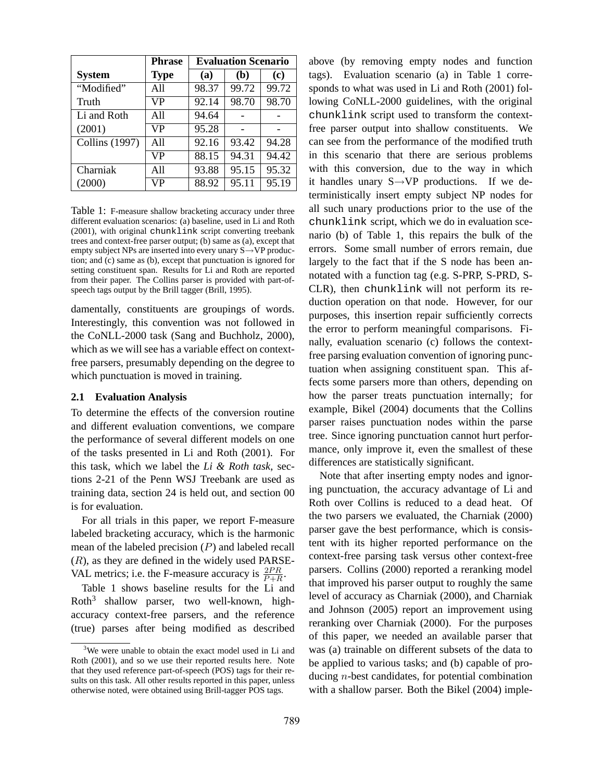|                       | <b>Phrase</b> | <b>Evaluation Scenario</b> |       |       |
|-----------------------|---------------|----------------------------|-------|-------|
| <b>System</b>         | <b>Type</b>   | (a)                        | (b)   | (c)   |
| "Modified"            | All           | 98.37                      | 99.72 | 99.72 |
| Truth                 | VP            | 92.14                      | 98.70 | 98.70 |
| Li and Roth           | All           | 94.64                      |       |       |
| (2001)                | VР            | 95.28                      |       |       |
| <b>Collins</b> (1997) | All           | 92.16                      | 93.42 | 94.28 |
|                       | <b>VP</b>     | 88.15                      | 94.31 | 94.42 |
| Charniak              | All           | 93.88                      | 95.15 | 95.32 |
| (2000)                | VР            | 88.92                      | 95.11 | 95.19 |

Table 1: F-measure shallow bracketing accuracy under three different evaluation scenarios: (a) baseline, used in Li and Roth (2001), with original chunklink script converting treebank trees and context-free parser output; (b) same as (a), except that empty subject NPs are inserted into every unary S→VP production; and (c) same as (b), except that punctuation is ignored for setting constituent span. Results for Li and Roth are reported from their paper. The Collins parser is provided with part-ofspeech tags output by the Brill tagger (Brill, 1995).

damentally, constituents are groupings of words. Interestingly, this convention was not followed in the CoNLL-2000 task (Sang and Buchholz, 2000), which as we will see has a variable effect on contextfree parsers, presumably depending on the degree to which punctuation is moved in training.

#### **2.1 Evaluation Analysis**

To determine the effects of the conversion routine and different evaluation conventions, we compare the performance of several different models on one of the tasks presented in Li and Roth (2001). For this task, which we label the *Li & Roth task*, sections 2-21 of the Penn WSJ Treebank are used as training data, section 24 is held out, and section 00 is for evaluation.

For all trials in this paper, we report F-measure labeled bracketing accuracy, which is the harmonic mean of the labeled precision  $(P)$  and labeled recall  $(R)$ , as they are defined in the widely used PARSE-VAL metrics; i.e. the F-measure accuracy is  $\frac{2PR}{P+R}$ .

Table 1 shows baseline results for the Li and Roth<sup>3</sup> shallow parser, two well-known, highaccuracy context-free parsers, and the reference (true) parses after being modified as described above (by removing empty nodes and function tags). Evaluation scenario (a) in Table 1 corresponds to what was used in Li and Roth (2001) following CoNLL-2000 guidelines, with the original chunklink script used to transform the contextfree parser output into shallow constituents. We can see from the performance of the modified truth in this scenario that there are serious problems with this conversion, due to the way in which it handles unary  $S \rightarrow VP$  productions. If we deterministically insert empty subject NP nodes for all such unary productions prior to the use of the chunklink script, which we do in evaluation scenario (b) of Table 1, this repairs the bulk of the errors. Some small number of errors remain, due largely to the fact that if the S node has been annotated with a function tag (e.g. S-PRP, S-PRD, S-CLR), then chunklink will not perform its reduction operation on that node. However, for our purposes, this insertion repair sufficiently corrects the error to perform meaningful comparisons. Finally, evaluation scenario (c) follows the contextfree parsing evaluation convention of ignoring punctuation when assigning constituent span. This affects some parsers more than others, depending on how the parser treats punctuation internally; for example, Bikel (2004) documents that the Collins parser raises punctuation nodes within the parse tree. Since ignoring punctuation cannot hurt performance, only improve it, even the smallest of these differences are statistically significant.

Note that after inserting empty nodes and ignoring punctuation, the accuracy advantage of Li and Roth over Collins is reduced to a dead heat. Of the two parsers we evaluated, the Charniak (2000) parser gave the best performance, which is consistent with its higher reported performance on the context-free parsing task versus other context-free parsers. Collins (2000) reported a reranking model that improved his parser output to roughly the same level of accuracy as Charniak (2000), and Charniak and Johnson (2005) report an improvement using reranking over Charniak (2000). For the purposes of this paper, we needed an available parser that was (a) trainable on different subsets of the data to be applied to various tasks; and (b) capable of producing n-best candidates, for potential combination with a shallow parser. Both the Bikel (2004) imple-

<sup>&</sup>lt;sup>3</sup>We were unable to obtain the exact model used in Li and Roth (2001), and so we use their reported results here. Note that they used reference part-of-speech (POS) tags for their results on this task. All other results reported in this paper, unless otherwise noted, were obtained using Brill-tagger POS tags.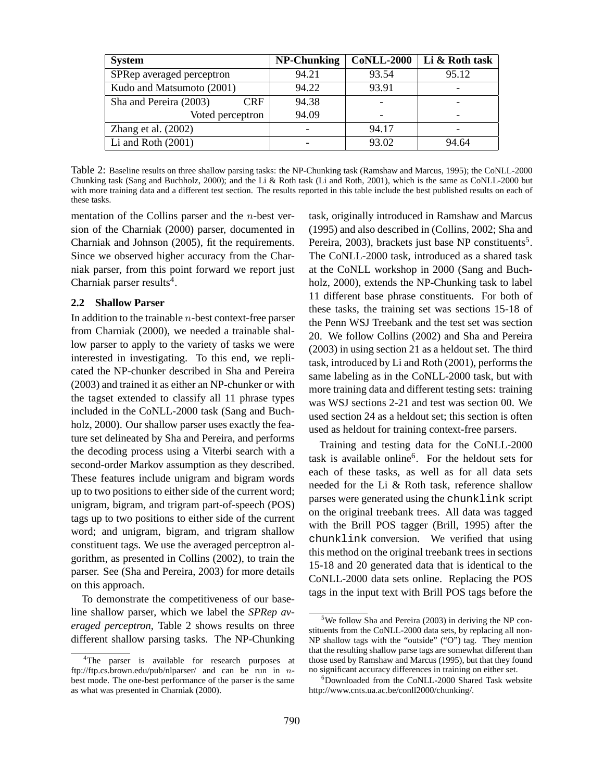| <b>System</b>                 | <b>NP-Chunking</b> | <b>CoNLL-2000</b>        | Li & Roth task |  |
|-------------------------------|--------------------|--------------------------|----------------|--|
| SPRep averaged perceptron     | 94.21              | 93.54                    | 95.12          |  |
| Kudo and Matsumoto (2001)     | 94.22              | 93.91                    |                |  |
| Sha and Pereira (2003)<br>CRF | 94.38              |                          |                |  |
| Voted perceptron              | 94.09              | $\overline{\phantom{0}}$ |                |  |
| Zhang et al. $(2002)$         |                    | 94.17                    |                |  |
| Li and Roth $(2001)$          |                    | 93.02                    | 94.64          |  |

Table 2: Baseline results on three shallow parsing tasks: the NP-Chunking task (Ramshaw and Marcus, 1995); the CoNLL-2000 Chunking task (Sang and Buchholz, 2000); and the Li & Roth task (Li and Roth, 2001), which is the same as CoNLL-2000 but with more training data and a different test section. The results reported in this table include the best published results on each of these tasks.

mentation of the Collins parser and the  $n$ -best version of the Charniak (2000) parser, documented in Charniak and Johnson (2005), fit the requirements. Since we observed higher accuracy from the Charniak parser, from this point forward we report just Charniak parser results<sup>4</sup>.

### **2.2 Shallow Parser**

In addition to the trainable n-best context-free parser from Charniak (2000), we needed a trainable shallow parser to apply to the variety of tasks we were interested in investigating. To this end, we replicated the NP-chunker described in Sha and Pereira (2003) and trained it as either an NP-chunker or with the tagset extended to classify all 11 phrase types included in the CoNLL-2000 task (Sang and Buchholz, 2000). Our shallow parser uses exactly the feature set delineated by Sha and Pereira, and performs the decoding process using a Viterbi search with a second-order Markov assumption as they described. These features include unigram and bigram words up to two positions to either side of the current word; unigram, bigram, and trigram part-of-speech (POS) tags up to two positions to either side of the current word; and unigram, bigram, and trigram shallow constituent tags. We use the averaged perceptron algorithm, as presented in Collins (2002), to train the parser. See (Sha and Pereira, 2003) for more details on this approach.

To demonstrate the competitiveness of our baseline shallow parser, which we label the *SPRep averaged perceptron*, Table 2 shows results on three different shallow parsing tasks. The NP-Chunking task, originally introduced in Ramshaw and Marcus (1995) and also described in (Collins, 2002; Sha and Pereira, 2003), brackets just base NP constituents<sup>5</sup>. The CoNLL-2000 task, introduced as a shared task at the CoNLL workshop in 2000 (Sang and Buchholz, 2000), extends the NP-Chunking task to label 11 different base phrase constituents. For both of these tasks, the training set was sections 15-18 of the Penn WSJ Treebank and the test set was section 20. We follow Collins (2002) and Sha and Pereira (2003) in using section 21 as a heldout set. The third task, introduced by Li and Roth (2001), performs the same labeling as in the CoNLL-2000 task, but with more training data and different testing sets: training was WSJ sections 2-21 and test was section 00. We used section 24 as a heldout set; this section is often used as heldout for training context-free parsers.

Training and testing data for the CoNLL-2000 task is available online<sup>6</sup>. For the heldout sets for each of these tasks, as well as for all data sets needed for the Li & Roth task, reference shallow parses were generated using the chunklink script on the original treebank trees. All data was tagged with the Brill POS tagger (Brill, 1995) after the chunklink conversion. We verified that using this method on the original treebank trees in sections 15-18 and 20 generated data that is identical to the CoNLL-2000 data sets online. Replacing the POS tags in the input text with Brill POS tags before the

<sup>&</sup>lt;sup>4</sup>The parser is available for research purposes at ftp://ftp.cs.brown.edu/pub/nlparser/ and can be run in nbest mode. The one-best performance of the parser is the same as what was presented in Charniak (2000).

<sup>&</sup>lt;sup>5</sup>We follow Sha and Pereira (2003) in deriving the NP constituents from the CoNLL-2000 data sets, by replacing all non-NP shallow tags with the "outside" ("O") tag. They mention that the resulting shallow parse tags are somewhat different than those used by Ramshaw and Marcus (1995), but that they found no significant accuracy differences in training on either set.

<sup>&</sup>lt;sup>6</sup>Downloaded from the CoNLL-2000 Shared Task website http://www.cnts.ua.ac.be/conll2000/chunking/.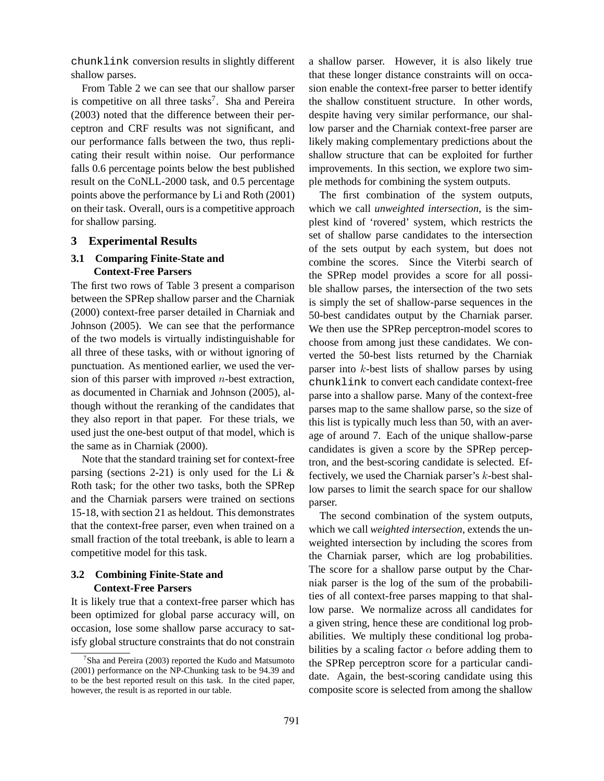chunklink conversion results in slightly different shallow parses.

From Table 2 we can see that our shallow parser is competitive on all three tasks<sup>7</sup>. Sha and Pereira (2003) noted that the difference between their perceptron and CRF results was not significant, and our performance falls between the two, thus replicating their result within noise. Our performance falls 0.6 percentage points below the best published result on the CoNLL-2000 task, and 0.5 percentage points above the performance by Li and Roth (2001) on their task. Overall, ours is a competitive approach for shallow parsing.

#### **3 Experimental Results**

## **3.1 Comparing Finite-State and Context-Free Parsers**

The first two rows of Table 3 present a comparison between the SPRep shallow parser and the Charniak (2000) context-free parser detailed in Charniak and Johnson (2005). We can see that the performance of the two models is virtually indistinguishable for all three of these tasks, with or without ignoring of punctuation. As mentioned earlier, we used the version of this parser with improved  $n$ -best extraction, as documented in Charniak and Johnson (2005), although without the reranking of the candidates that they also report in that paper. For these trials, we used just the one-best output of that model, which is the same as in Charniak (2000).

Note that the standard training set for context-free parsing (sections 2-21) is only used for the Li  $\&$ Roth task; for the other two tasks, both the SPRep and the Charniak parsers were trained on sections 15-18, with section 21 as heldout. This demonstrates that the context-free parser, even when trained on a small fraction of the total treebank, is able to learn a competitive model for this task.

### **3.2 Combining Finite-State and Context-Free Parsers**

It is likely true that a context-free parser which has been optimized for global parse accuracy will, on occasion, lose some shallow parse accuracy to satisfy global structure constraints that do not constrain a shallow parser. However, it is also likely true that these longer distance constraints will on occasion enable the context-free parser to better identify the shallow constituent structure. In other words, despite having very similar performance, our shallow parser and the Charniak context-free parser are likely making complementary predictions about the shallow structure that can be exploited for further improvements. In this section, we explore two simple methods for combining the system outputs.

The first combination of the system outputs, which we call *unweighted intersection*, is the simplest kind of 'rovered' system, which restricts the set of shallow parse candidates to the intersection of the sets output by each system, but does not combine the scores. Since the Viterbi search of the SPRep model provides a score for all possible shallow parses, the intersection of the two sets is simply the set of shallow-parse sequences in the 50-best candidates output by the Charniak parser. We then use the SPRep perceptron-model scores to choose from among just these candidates. We converted the 50-best lists returned by the Charniak parser into k-best lists of shallow parses by using chunklink to convert each candidate context-free parse into a shallow parse. Many of the context-free parses map to the same shallow parse, so the size of this list is typically much less than 50, with an average of around 7. Each of the unique shallow-parse candidates is given a score by the SPRep perceptron, and the best-scoring candidate is selected. Effectively, we used the Charniak parser's k-best shallow parses to limit the search space for our shallow parser.

The second combination of the system outputs, which we call *weighted intersection*, extends the unweighted intersection by including the scores from the Charniak parser, which are log probabilities. The score for a shallow parse output by the Charniak parser is the log of the sum of the probabilities of all context-free parses mapping to that shallow parse. We normalize across all candidates for a given string, hence these are conditional log probabilities. We multiply these conditional log probabilities by a scaling factor  $\alpha$  before adding them to the SPRep perceptron score for a particular candidate. Again, the best-scoring candidate using this composite score is selected from among the shallow

<sup>&</sup>lt;sup>7</sup>Sha and Pereira (2003) reported the Kudo and Matsumoto (2001) performance on the NP-Chunking task to be 94.39 and to be the best reported result on this task. In the cited paper, however, the result is as reported in our table.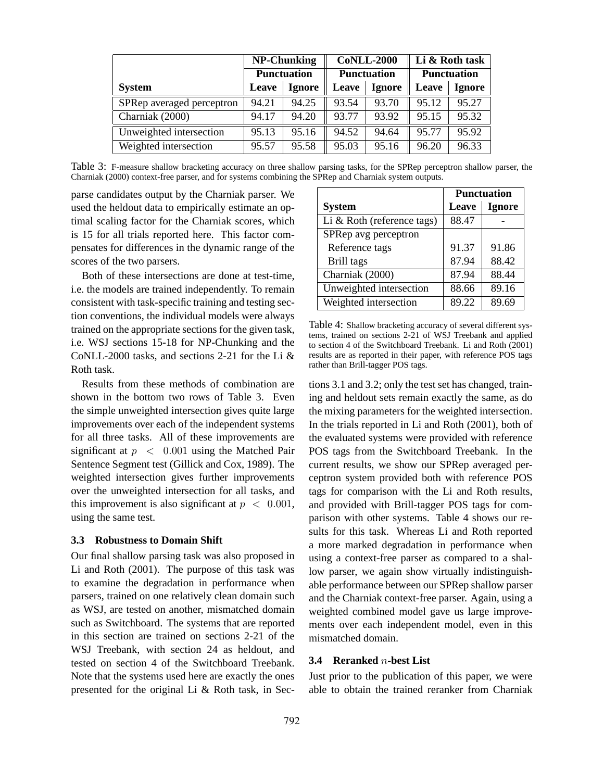|                           | <b>NP-Chunking</b> |               | <b>CoNLL-2000</b>  |               | Li & Roth task     |               |
|---------------------------|--------------------|---------------|--------------------|---------------|--------------------|---------------|
|                           | <b>Punctuation</b> |               | <b>Punctuation</b> |               | <b>Punctuation</b> |               |
| <b>System</b>             | Leave              | <b>Ignore</b> | Leave              | <b>Ignore</b> | Leave              | <b>Ignore</b> |
| SPRep averaged perceptron | 94.21              | 94.25         | 93.54              | 93.70         | 95.12              | 95.27         |
| Charniak (2000)           | 94.17              | 94.20         | 93.77              | 93.92         | 95.15              | 95.32         |
| Unweighted intersection   | 95.13              | 95.16         | 94.52              | 94.64         | 95.77              | 95.92         |
| Weighted intersection     | 95.57              | 95.58         | 95.03              | 95.16         | 96.20              | 96.33         |

Table 3: F-measure shallow bracketing accuracy on three shallow parsing tasks, for the SPRep perceptron shallow parser, the Charniak (2000) context-free parser, and for systems combining the SPRep and Charniak system outputs.

parse candidates output by the Charniak parser. We used the heldout data to empirically estimate an optimal scaling factor for the Charniak scores, which is 15 for all trials reported here. This factor compensates for differences in the dynamic range of the scores of the two parsers.

Both of these intersections are done at test-time, i.e. the models are trained independently. To remain consistent with task-specific training and testing section conventions, the individual models were always trained on the appropriate sections for the given task, i.e. WSJ sections 15-18 for NP-Chunking and the CoNLL-2000 tasks, and sections 2-21 for the Li & Roth task.

Results from these methods of combination are shown in the bottom two rows of Table 3. Even the simple unweighted intersection gives quite large improvements over each of the independent systems for all three tasks. All of these improvements are significant at  $p \, < \, 0.001$  using the Matched Pair Sentence Segment test (Gillick and Cox, 1989). The weighted intersection gives further improvements over the unweighted intersection for all tasks, and this improvement is also significant at  $p < 0.001$ , using the same test.

#### **3.3 Robustness to Domain Shift**

Our final shallow parsing task was also proposed in Li and Roth (2001). The purpose of this task was to examine the degradation in performance when parsers, trained on one relatively clean domain such as WSJ, are tested on another, mismatched domain such as Switchboard. The systems that are reported in this section are trained on sections 2-21 of the WSJ Treebank, with section 24 as heldout, and tested on section 4 of the Switchboard Treebank. Note that the systems used here are exactly the ones presented for the original Li & Roth task, in Sec-

|                            | <b>Punctuation</b> |               |  |
|----------------------------|--------------------|---------------|--|
| <b>System</b>              | Leave              | <b>Ignore</b> |  |
| Li & Roth (reference tags) | 88.47              |               |  |
| SPRep avg perceptron       |                    |               |  |
| Reference tags             | 91.37              | 91.86         |  |
| <b>Brill tags</b>          | 87.94              | 88.42         |  |
| Charniak (2000)            | 87.94              | 88.44         |  |
| Unweighted intersection    | 88.66              | 89.16         |  |
| Weighted intersection      | 89.22              | 89.69         |  |

Table 4: Shallow bracketing accuracy of several different systems, trained on sections 2-21 of WSJ Treebank and applied to section 4 of the Switchboard Treebank. Li and Roth (2001) results are as reported in their paper, with reference POS tags rather than Brill-tagger POS tags.

tions 3.1 and 3.2; only the test set has changed, training and heldout sets remain exactly the same, as do the mixing parameters for the weighted intersection. In the trials reported in Li and Roth (2001), both of the evaluated systems were provided with reference POS tags from the Switchboard Treebank. In the current results, we show our SPRep averaged perceptron system provided both with reference POS tags for comparison with the Li and Roth results, and provided with Brill-tagger POS tags for comparison with other systems. Table 4 shows our results for this task. Whereas Li and Roth reported a more marked degradation in performance when using a context-free parser as compared to a shallow parser, we again show virtually indistinguishable performance between our SPRep shallow parser and the Charniak context-free parser. Again, using a weighted combined model gave us large improvements over each independent model, even in this mismatched domain.

### **3.4 Reranked** n**-best List**

Just prior to the publication of this paper, we were able to obtain the trained reranker from Charniak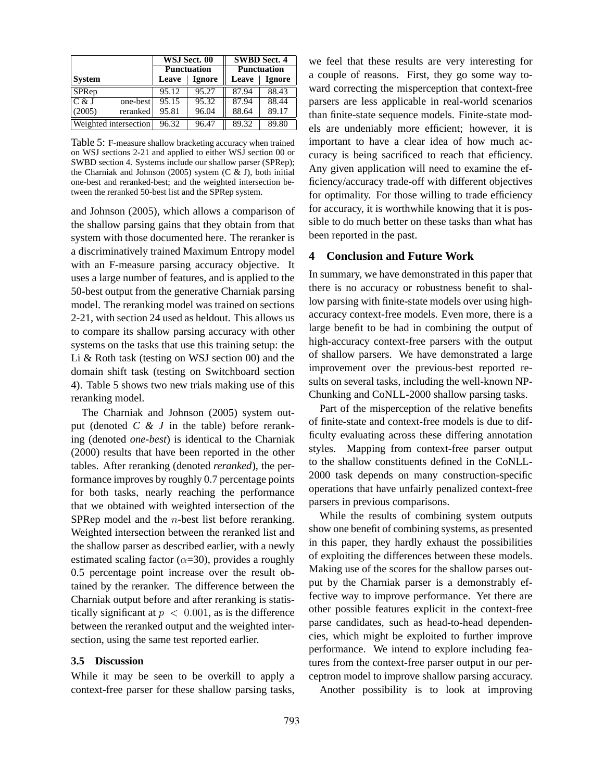|                              |          | WSJ Sect. 00       |               | <b>SWBD</b> Sect. 4 |               |  |
|------------------------------|----------|--------------------|---------------|---------------------|---------------|--|
|                              |          | <b>Punctuation</b> |               | <b>Punctuation</b>  |               |  |
| <b>System</b>                |          | Leave              | <b>Ignore</b> | Leave               | <b>Ignore</b> |  |
| SPRep                        |          | 95.12              | 95.27         | 87.94               | 88.43         |  |
| C & J                        | one-best | 95.15              | 95.32         | 87.94               | 88.44         |  |
| (2005)                       | reranked | 95.81              | 96.04         | 88.64               | 89.17         |  |
| <b>Weighted intersection</b> |          | 96.32              | 96.47         | 89.32               | 89.80         |  |

Table 5: F-measure shallow bracketing accuracy when trained on WSJ sections 2-21 and applied to either WSJ section 00 or SWBD section 4. Systems include our shallow parser (SPRep); the Charniak and Johnson (2005) system (C  $\&$  J), both initial one-best and reranked-best; and the weighted intersection between the reranked 50-best list and the SPRep system.

and Johnson (2005), which allows a comparison of the shallow parsing gains that they obtain from that system with those documented here. The reranker is a discriminatively trained Maximum Entropy model with an F-measure parsing accuracy objective. It uses a large number of features, and is applied to the 50-best output from the generative Charniak parsing model. The reranking model was trained on sections 2-21, with section 24 used as heldout. This allows us to compare its shallow parsing accuracy with other systems on the tasks that use this training setup: the Li & Roth task (testing on WSJ section 00) and the domain shift task (testing on Switchboard section 4). Table 5 shows two new trials making use of this reranking model.

The Charniak and Johnson (2005) system output (denoted *C & J* in the table) before reranking (denoted *one-best*) is identical to the Charniak (2000) results that have been reported in the other tables. After reranking (denoted *reranked*), the performance improves by roughly 0.7 percentage points for both tasks, nearly reaching the performance that we obtained with weighted intersection of the SPRep model and the *n*-best list before reranking. Weighted intersection between the reranked list and the shallow parser as described earlier, with a newly estimated scaling factor ( $\alpha$ =30), provides a roughly 0.5 percentage point increase over the result obtained by the reranker. The difference between the Charniak output before and after reranking is statistically significant at  $p < 0.001$ , as is the difference between the reranked output and the weighted intersection, using the same test reported earlier.

### **3.5 Discussion**

While it may be seen to be overkill to apply a context-free parser for these shallow parsing tasks, we feel that these results are very interesting for a couple of reasons. First, they go some way toward correcting the misperception that context-free parsers are less applicable in real-world scenarios than finite-state sequence models. Finite-state models are undeniably more efficient; however, it is important to have a clear idea of how much accuracy is being sacrificed to reach that efficiency. Any given application will need to examine the efficiency/accuracy trade-off with different objectives for optimality. For those willing to trade efficiency for accuracy, it is worthwhile knowing that it is possible to do much better on these tasks than what has been reported in the past.

## **4 Conclusion and Future Work**

In summary, we have demonstrated in this paper that there is no accuracy or robustness benefit to shallow parsing with finite-state models over using highaccuracy context-free models. Even more, there is a large benefit to be had in combining the output of high-accuracy context-free parsers with the output of shallow parsers. We have demonstrated a large improvement over the previous-best reported results on several tasks, including the well-known NP-Chunking and CoNLL-2000 shallow parsing tasks.

Part of the misperception of the relative benefits of finite-state and context-free models is due to difficulty evaluating across these differing annotation styles. Mapping from context-free parser output to the shallow constituents defined in the CoNLL-2000 task depends on many construction-specific operations that have unfairly penalized context-free parsers in previous comparisons.

While the results of combining system outputs show one benefit of combining systems, as presented in this paper, they hardly exhaust the possibilities of exploiting the differences between these models. Making use of the scores for the shallow parses output by the Charniak parser is a demonstrably effective way to improve performance. Yet there are other possible features explicit in the context-free parse candidates, such as head-to-head dependencies, which might be exploited to further improve performance. We intend to explore including features from the context-free parser output in our perceptron model to improve shallow parsing accuracy.

Another possibility is to look at improving